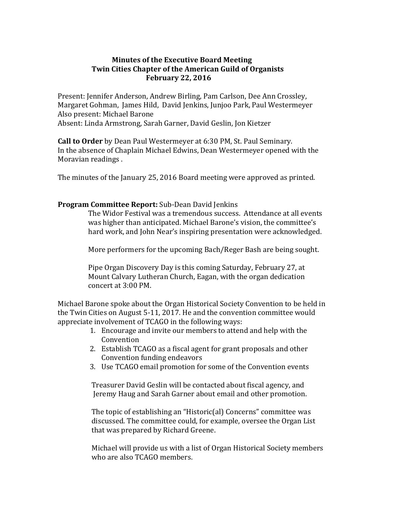# **Minutes of the Executive Board Meeting Twin Cities Chapter of the American Guild of Organists February 22, 2016**

Present: Jennifer Anderson, Andrew Birling, Pam Carlson, Dee Ann Crossley, Margaret Gohman, James Hild, David Jenkins, Junjoo Park, Paul Westermeyer Also present: Michael Barone

Absent: Linda Armstrong, Sarah Garner, David Geslin, Jon Kietzer

**Call to Order** by Dean Paul Westermeyer at 6:30 PM, St. Paul Seminary. In the absence of Chaplain Michael Edwins, Dean Westermeyer opened with the Moravian readings .

The minutes of the January 25, 2016 Board meeting were approved as printed.

# **Program Committee Report:** Sub-Dean David Jenkins

 The Widor Festival was a tremendous success. Attendance at all events was higher than anticipated. Michael Barone's vision, the committee's hard work, and John Near's inspiring presentation were acknowledged.

More performers for the upcoming Bach/Reger Bash are being sought.

 Pipe Organ Discovery Day is this coming Saturday, February 27, at Mount Calvary Lutheran Church, Eagan, with the organ dedication concert at 3:00 PM.

Michael Barone spoke about the Organ Historical Society Convention to be held in the Twin Cities on August 5-11, 2017. He and the convention committee would appreciate involvement of TCAGO in the following ways:

- 1. Encourage and invite our members to attend and help with the Convention
- 2. Establish TCAGO as a fiscal agent for grant proposals and other Convention funding endeavors
- 3. Use TCAGO email promotion for some of the Convention events

 Treasurer David Geslin will be contacted about fiscal agency, and Jeremy Haug and Sarah Garner about email and other promotion.

 The topic of establishing an "Historic(al) Concerns" committee was discussed. The committee could, for example, oversee the Organ List that was prepared by Richard Greene.

 Michael will provide us with a list of Organ Historical Society members who are also TCAGO members.